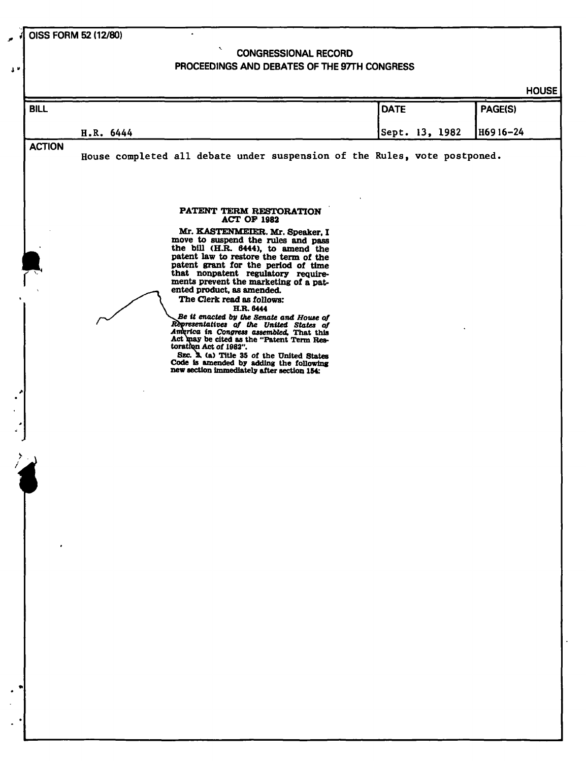**OISS FORM 52 (12/80)** 

**i "** 

# $\mathcal{N}_{\mathrm{c}}$ **CONGRESSIONAL RECORD PROCEEDINGS AND DEBATES OF THE 97TH CONGRESS**

 $\bullet$ 

| <b>DATE</b><br>PAGE(S)<br>Sept. 13, 1982<br>H6916-24<br>H.R. 6444<br>House completed all debate under suspension of the Rules, vote postponed.<br>PATENT TERM RESTORATION<br><b>ACT OF 1982</b><br>Mr. KASTENMEIER. Mr. Speaker, I<br>move to suspend the rules and pass<br>the bill (H.R. 6444), to amend the<br>patent law to restore the term of the<br>patent grant for the period of time<br>that nonpatent regulatory require-<br>ments prevent the marketing of a pat-<br>ented product, as amended.<br>The Clerk read as follows:<br>H.R. 6444<br>Be it enacted by the Senate and House of<br>Representatives of the United States of<br>America in Congress assembled, That this<br>Act may be cited as the "Patent Term Res-<br>toration Act of 1982".<br>SEC. A. (a) Title 35 of the United States<br>Code is amended by adding the following<br>new section immediately after section 154: | <b>BILL</b><br><b>ACTION</b> |
|--------------------------------------------------------------------------------------------------------------------------------------------------------------------------------------------------------------------------------------------------------------------------------------------------------------------------------------------------------------------------------------------------------------------------------------------------------------------------------------------------------------------------------------------------------------------------------------------------------------------------------------------------------------------------------------------------------------------------------------------------------------------------------------------------------------------------------------------------------------------------------------------------------|------------------------------|
|                                                                                                                                                                                                                                                                                                                                                                                                                                                                                                                                                                                                                                                                                                                                                                                                                                                                                                        |                              |
|                                                                                                                                                                                                                                                                                                                                                                                                                                                                                                                                                                                                                                                                                                                                                                                                                                                                                                        |                              |
|                                                                                                                                                                                                                                                                                                                                                                                                                                                                                                                                                                                                                                                                                                                                                                                                                                                                                                        |                              |
|                                                                                                                                                                                                                                                                                                                                                                                                                                                                                                                                                                                                                                                                                                                                                                                                                                                                                                        |                              |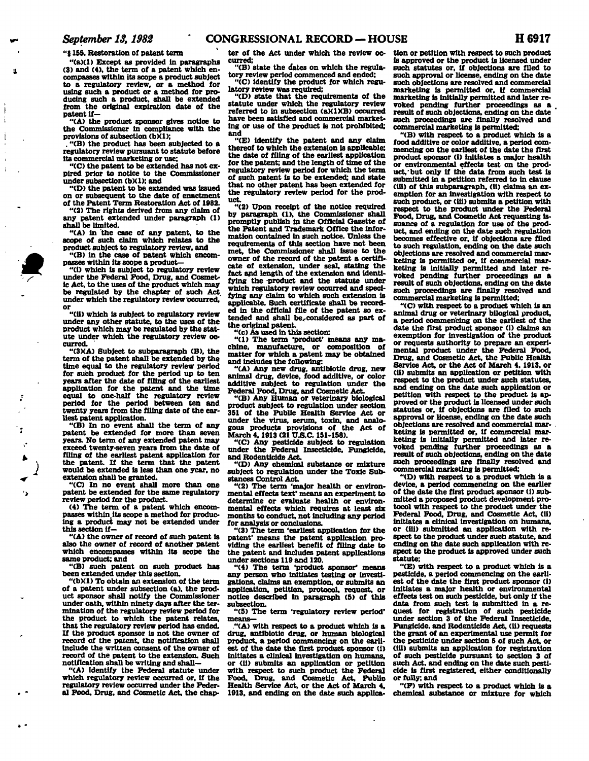**"5155. Restoration of patent term** 

**"(a)(1) Except as provided in paragraphs (3) and (4), the term of a patent which encompasses within its scope a product subject to a regulatory review, or a method for using such a product or a method for producing such a product, shall be extended from the original expiration date of the patent if—** 

**"(A) the product sponsor gives notice to the Commissioner In compliance with the provisions of subsection (b)(1);** 

**. "(B) the product has been subjected to a regulatory review pursuant to statute before its commercial marketing or use;** 

**"(C) the patent to be extended has not expired prior to notice to the Commissioner under subsection (bXl): and** 

**"(D) the patent to be extended was issued on or subsequent to the date of enactment of the Patent Term Restoration Act of 1982.** 

**"(2) The rights derived from any claim of any patent extended under paragraph (1) shall be limited.** 

**"(A) in the case of any patent, to the scope of such claim which relates to the product subject to regulatory review, and** 

**"(B) in the case of patent which encompasses within its scope a product—** 

**"(i) which Is subject to regulatory review under the Federal Food, Drug, and Cosmetic Act, to the uses of the product which may be regulated by the chapter of such Act. under which the regulatory review occurred, or** 

**"(ii) which is subject to regulatory review under any other statute, to the uses of the product which may be regulated by the statute under which the regulatory review occurred.** 

**"(SKA) Subject to subparagraph (B), the term of the patent shall be extended by the time equal to the regulatory review period for such product for the period up to ten years after the date of filing of the earliest application for the patent and the time equal to one-half the regulatory review period for the period between ten and twenty years from the filing date of the earliest patent application.** 

**"(B) In no event shall the term of any patent be extended for more than seven years. No term of any extended patent may exceed twenty-seven years from the date of filing of the earliest patent application for the patent. If the term that the patent would be extended is less than one year, no extension shall be granted.** 

**"(C) In no event shall more than one patent be extended for the same regulatory review period for the product.** 

٠,

**(4) The term of a patent which encompasses within.lts scope a method for producing a product may not be extended under this section if—** 

**"(A) the owner of record of such patent is also the owner of record of another patent which encompasses within its scope the same product; and** 

**"(B) such patent on such product has been extended under this section.** 

**"(bXl) To obtain an extension of the term of a patent under subsection (a), the product sponsor shall notify the Commissioner under oath, within ninety days after the termination of the regulatory review period for the product to which the patent relates, that the regulatory review period has ended. If the product sponsor is not the owner of record of the patent, the notification shall include the written consent of the owner of record of the patent to the extension. Such notification shall be writing and shall—** 

**"(A) identify the Federal statute under which regulatory review occurred or, if the regulatory review occurred under the Federal Food. Drug, and Cosmetic Act, the chap-** **ter of the Act under which the review occurred;** 

**"(B) state the dates on which the regulatory review period commenced and ended: "(C) identify the product for which regulatory review was required;** 

**"(D) state that the requirements of the statute under which the regulatory review referred to in subsection (aXIXB) occurred have been satisfied and commercial marketing or use of the product is not prohibited; and** 

**"(E) identify the patent and any claim thereof to which the extension is applicable; the date of filing of the earliest application for the patent; and the length of time of the regulatory review period for which the term of such patent is to be extended; and state that no other patent has been extended for the regulatory review period for the product.** 

**"(2) Upon receipt of the notice required by paragraph (1), the Commissioner shall promptly publish in the Official Gazette of the Patent and Trademark Office the Information contained in such notice. Unless the requirements of this section have not been met, the Commissioner shall issue to the owner of the record of the patent a certificate of extension, under seal, stating the fact and length of the extension and identifying the -product and the statute under which regulatory review occurred and specifying any claim to which such extension is applicable. Such certificate shall be recorded in the official file of the patent so ex**tended and shall be<sub>c</sub>considered as part of **the original patent.** 

**"(c) As used in this section:** 

**"(1) The term 'product' means any machine, manufacture, or composition of matter for which a patent may be obtained and includes the following:** 

**"(A) Any new drug, antibiotic drug, new animal drug, device, food additive, or color additive subject to regulation under the Federal Food, Drug, and Cosmetic Act** 

**"(B) Any Human or veterinary biological product subject to regulation under section 351 of the Public Health Service Act or under the virus, serum, toxin, and analo**gous products provisions of the Act of March 4, 1913 (21 U.S.C. 151-158).

**"(C) Any pesticide subject to regulation under the Federal Insecticide, Fungicide, and Rodenticide Act.** 

**"(D) Any chemical substance or mixture subject to regulation under the Toxic Substances Control Act.** 

**"(2) The term 'major health or environmental effects text' means an experiment to determine or evaluate health or environmental effects which requires at least six months to conduct, not Including any period**  for analysis or conclusions.

**"(3) The term 'earliest application for the patent' means the patent application providing the earliest benefit of filing date to the patent and includes patent applications under sections 119 and 120.** 

**"(4) The term 'product sponsor\* means any person who initiates testing or investigations, claims an exemption, or submits an application, petition, protocol, request, or notice described in paragraph (5) of this subsection.** 

**"(5) The term 'regulatory review period' means—** 

**."(A) with respect to a product which is a drug, antibiotic drug, or human biological product, a period commencing on the earliest of the date the first product sponsor (1) initiates a clinical investigation on humans, or (11) submits an application or petition with respect to such product the Federal Food. Drug, and Cosmetic Act, Public Health Service Act, or the Act of March 4. 1913. and ending on the date such applica-** **tion or petition with respect to such product is approved or the product is licensed under such statutes or, if objections are filed to such approval or license, ending on the date such objections are resolved and commercial marketing is permitted or, if commercial marketing is initially permitted and later revoked pending further proceedings as a result of such objections, ending on the date such proceedings are finally resolved and commercial marketing is permitted;** 

**"(B) with respect to a product which is a food additive or color additive, a period commencing on the earliest of the date the first product sponsor (1) initiates a major health or environmental effects test on the product,'but only If the data from such test is submitted in a petition referred to in clause (ill) of this subparagraph, (ii) claims an exemption for an investigation with respect to such product, or (ill) submits a petition with respect to the product under the Federal Food, Drug, and Cosmetic Act requesting issuance of a regulation for use of the product, and ending on the date such regulation becomes effective or, if objections are filed to such regulation, ending on the date such objections are resolved and commercial marketing is permitted or. If commercial marketing is initially permitted and later revoked pending further proceedings as a result of such objections, ending on the date such proceedings are finally resolved and commercial marketing is permitted;** 

**"(C) with respect to a product which is an animal drug or veterinary bllogical product, a period commencing on the earliest of the date the first product sponsor (1) claims an exemption for investigation of the product or requests authority to prepare an experimental product under the Federal Food, Drug, and Cosmetic Act, the Public Health Service Act, or the Act of March 4,1913, or (ii) submits an application or petition with respect to the product under such statutes, and ending on the date such application or petition with respect to the product is approved or the product is licensed under such statutes or, if objections are filed to such approval or license, ending on the date such objections are resolved and commercial marketing is permitted or, if commercial marketing is Initially permitted and later revoked pending further proceedings as a result of such objections, ending on the date such proceedings are finally resolved and commercial marketing is permitted;** 

**"(D) with respect to a product which is a device, a period commencing on the earlier of the date the first product sponsor (i) submitted a proposed product development protocol with respect to the product under the**  Federal Food, Drug, and Cosmetic Act, (ii) **Initiates a clinical investigation on humans, or (ill) submitted an application with respect to the product under such statute, and ending on the date such application with respect to the product Is approved under such statute;** 

**"(E) with respect to a product which is a pesticide, a period commencing on the earliest of the date the first product sponsor (i) Initiates a major health or environmental effects test on such pesticide, but only if the data from such test is submitted in a request for registration of such pesticide under section 3 of the Federal Insecticide, Fungicide, and Rodenticide Act, (11) requests the grant of an experimental use permit for the pesticide under section 5 of such Act, or (ill) submits an application for registration of such pesticide pursuant to section 3 of such Act, and ending on the date such pesticide is first registered, either conditionally or fully; and** 

**"(F) with respect to a product which is a chemical substance or mixture for which**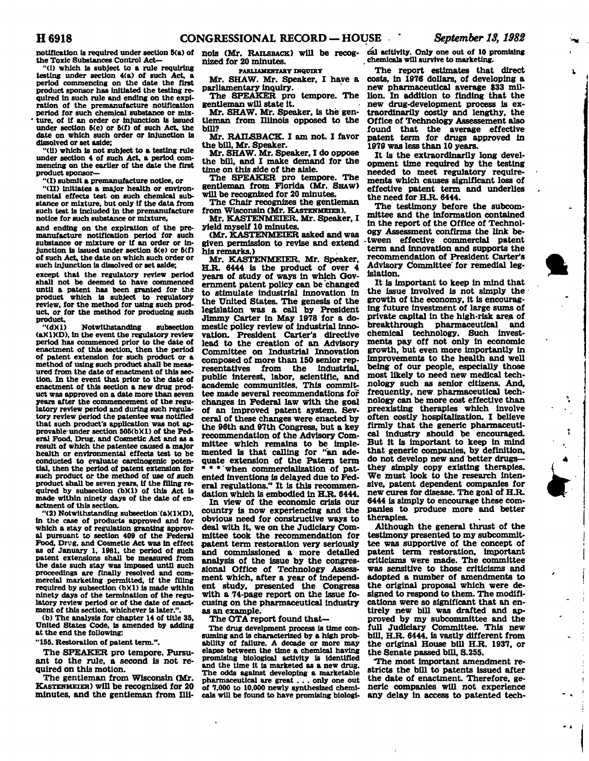**notification is required under section 5(a) of <br>
<b>nois (Mr.** RAILSBACK) will be recog-<br> **the Toxic Substances Control Act—** <br> **nized for 20 minutes.** 

**"(i) which is subject to a rule requiring testing under section 4(a) of such Act, a period commencing on the date the first product sponsor has initiated the testing required in such rule and ending on the expiration of the premanufacture notification period for such chemical substance or mlx- ' ture, of if an order or injunction is issued under section 5(e) or 5(f) of such Act, the date on which such order or injunction is dissolved or set aside;** 

**"(II) which Is not subject to a testing rule**  under section 4 of such Act, a period com**mencing on the earlier of the date the first product sponsor—** 

**"(I) submit a premanufacture notice, or** 

**"(II) initiates a major health or environmental effects test on such chemical substance or mixture, but only if the data from such test is included in the premanufacture notice for such substance or mixture,** 

**and ending on the expiration of the premanufacture notification period for such substance or mixture or if an order or injunction is issued under section 5(e) or 5(f) of such Act, the date on which such order or such injunction is dissolved or set aside;** 

**except that the regulatory review period shall not be deemed to have commenced**  shall not be deemed to have commenced until a patent has been granted for the product which is subject to regulatory review, for the method for using such product, or for the method for producing such product.

**"(dXl) Notwithstanding subsection (a)(1)(D), in the event the regulatory review period has commenced prior to the date of enactment of this section, then the period of patent extension for such product or a method of using such product shall be measured from the date of enactment of this section. In the event that prior to the date of enactment of this section a new drug product was approved on a date more than seven years after the commencement of the regulatory review period and during such regulatory review period the patentee was notified that such product's application was not approvable-under section 505(b)(1) of the Federal Food, Drug, and Cosmetic Act and as a result of which the patentee caused a major health or environmental effects test to be conducted to evaluate carcinogenic potential, then the period of patent extension for such product or the method of use of such product shall be seven years, if the filing re-quired by subsection (b)(1) of this Act is made within ninety days of the date of enactment of this section.** 

**"(2) Notwithstanding subsection (aXIXD), in the case of products approved and for which a stay of regulation granting approval pursuant to section 409 of the Federal Food, Drug, and Cosmetic Act was in effect as of January 1, 1981, the period of such patent extensions shall be measured from the date such stay was imposed until such proceedings are finally resolved and commercial marketing permitted, if the filing required by subsection (bXl) Is made within ninety days of the termination of the regulatory review period or of the date of enactment of this section, whichever is later.".** 

**(b) The analysis for chapter 14 of title 35, United States Code, is amended by adding at the end the following:** 

**"155. Restoration of patent term.".** 

**The SPEAKER pro tempore. Pursuant to the rule, a second is not required on this motion.** 

**The gentleman from Wisconsin (Mr. KASTENMEIER) will be recognized for 20 minutes, and the gentleman from Illi-** **nized for 20 minutes.** 

**PARLIAMENTARY INQUIRY** 

**Mr. SHAW. Mr. Speaker, I have a parliamentary inquiry.** 

**The SPEAKER pro tempore. The gentleman will state it.** 

**Mr. SHAW. Mr. Speaker, is the gentleman from Illinois opposed to the bill?** 

**Mr. RAILSBACK. I am not. I favor the bill, Mr. Speaker.** 

**Mr. SHAW. Mr. Speaker, I do oppose the bill, and I make demand for the time on this side of the aisle.** 

**The SPEAKER pro tempore. The gentleman from Florida (Mr. SHAW) will be recognized for 20 minutes.** 

**The Chair recognizes the gentleman from Wisconsin (Mr. KASTENMEIER).** 

**Mr. KASTENMEIER. Mr. Speaker, I yield myself 10 minutes.** 

**(Mr. KASTENMEIER asked and was given permission to revise and extend his remarks.)** 

**Mr. KASTENMEIER. Mr. Speaker, H.R. 6444 is the product of over 4 years of study of ways in which Government patent policy can be changed to stimulate industrial innovation in the United States. The genesis of the legislation was a call by President Jimmy Carter in May 1978 for a domestic policy review of industrial innovation. President Carter's directive lead to the creation of an Advisory Committee on Industrial Innovation composed of more than 150 senior representatives from the industrial, resentatives from the industrial,<br>public interest labor scientific and academic communities. This committee made several recommendations for**  tee made several recommendations for changes in Federal law with the goal of an improved patent system. Sevceral of these changes were enacted by the 96th and 97th Congress, but a key recommendation of the Advisory Committee which remains to be implemented is that calling for "an adequate extension of the Patern term \* \* when commercialization of patented inventions is delayed due to Fed**dation which is embodied in H.R. 6444.** 

**In view of the economic crisis our country is now experiencing and the obvious need for constructive ways to deal with it, we on the Judiciary Committee took the recommendation for patent term restoration very seriously and commissioned a more detailed analysis of the issue by the congressional Office of Technology Assessment which, after a year of independent study, presented the Congress with a 74-page report on the issue focusing on the pharmaceutical industry as an example.** 

**The OTA report found that—** 

**The drug develpment process is time consuming and is characterized by a high probability of failure. A decade or more may elapse between the time a chemical having promising biological activity is identified and the time it Is marketed as a new drug. The odds against developing a marketable pharmaceutical are great . . . only one out of 7,000 to 10,000 newly synthesized chemicals will be found to have promising biologi-**

**cal acitivlty. Only one out of 10 promising chemicals will survive to marketing.** 

**The report estimates that direct costs, in 1976 dollars, of developing a new pharmaceutical average \$33 million. In addition to finding that the new drug-development process is extraordinarily costly and lengthy, the Office of Technology Assessement also found that the average effective patent term for drugs approved in 1979 was less than 10 years.** 

**It is the extraordinarily long development time required by the testing needed to meet regulatory requirements which causes significant loss of effective patent term and underlies the need for H.R. 6444.** 

**The testimony before the subcommittee and the information contained in the report of the Office of Technology Assessment confirms the link be- -tween effective commercial patent term and innovation and supports the recommendation of President Carter's Advisory Committee for remedial legislation.** 

**It is important to keep in mind that the issue involved is not simply the growth of the economy, it is encouraging future investment of large sums of private capital in the high-risk area of breakthrough pharmaceutical and chemical technology. Such investments pay off not only in economic growth, but even more importantly in Improvements to the health and well being of our people, especially those most likely to need new medical technology such as senior citizens. And, frequently, new pharmaceutical technology can be more cost effective than preexisting therapies which involve often costly hospitalization. I believe firmly that the generic pharmaceutical industry should be encouraged. But it is important to keep in mind that generic companies, by definition, do not develop new and better drugs they simply copy existing therapies. We must look to the research intensive, patent dependent companies for new cures for disease. The goal of H.R. 6444 is simply to encourage these companies to produce more and better therapies.** 

**Although the general thrust of the testimony presented to my subcommittee was supportive of the concept of patent term restoration, important criticisms were made. The committee was sensitive to those criticisms and adopted a number of amendments to the original proposal which were designed to respond to them. The modifications were so significant that ah entirely new bill was drafted and approved by my subcommittee and the full Judiciary Committee. This new bill, H.R. 6444, is vastly different from the original House bill H.R. 1937, or the Senate passed bill, S.255.** 

**The most important amendment restricts the bill to patents issued after the date of enactment. Therefore, generic companies will not experience any delay in access to patented tech-**



÷.

Ĩ.

÷

 $\cdot$ 

 $\mathbf{I}$  $\overline{1}$ 

٠.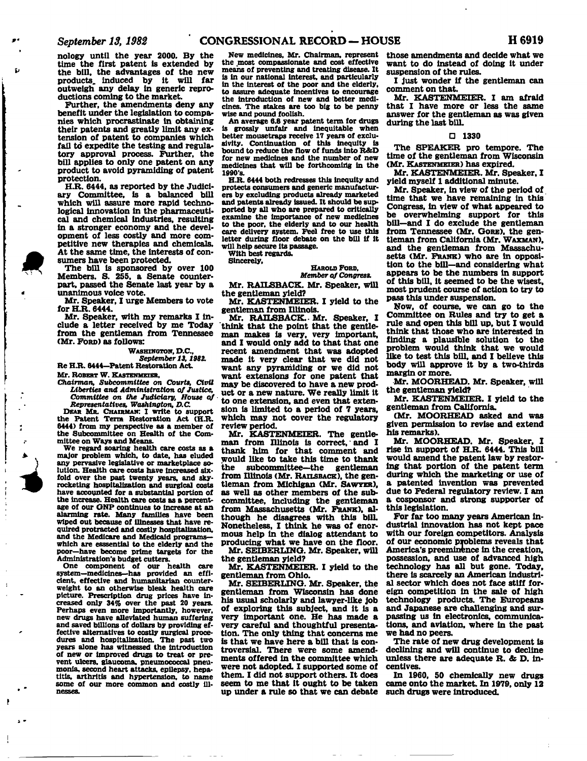**nology until the year 2000. By the time the first patent is extended by the bill, the advantages of the new products, induced by it will far outweigh any delay in generic reproductions coming to the market.** 

**Further, the amendments deny any benefit under the legislation to companies which procrastinate in obtaining their patents and greatly limit any extension of patent to companies which fail to expedite the testing and regulatory approval process. Further, the bill applies to only one patent on any product to avoid pyramiding of patent protection.** 

**H.R. 6444, as reported by the Judiciary Committee, is a balanced bill which will assure more rapid technological innovation in the pharmaceutical and chemical industries, resulting in a stronger economy and the development of less costly and more competitive new therapies and chemicals. At the same time, the interests of consumers have been protected.** 

**The bill is sponsored by over 100 Members. S. 255. a Senate counterpart, passed the Senate last year by a unanimous voice vote.** 

**Mr. Speaker, I urge Members to vote for H.R. 6444.** 

**Mr. Speaker, with my remarks I include a letter received by me Today from the gentleman from Tennessee (Mr. FORD) as follows:** 

### **WASHINGTON, D.C.,**

*September 13,1982.* 

Re H.R. 6444-Patent Restoration Act.

**#** 

£,

**»** 

1

**i** 

**Mr. ROBERT W. KASTENMEEER,**  *Chairman, Subcommittee on Courts, Civil* 

*Liberties and Administration of Justice, Committee on the Judiciary, Mouse of Representatives, Washington, D.C.* 

**DEAR MR. CHAIRMAN: I write to support the Patent Term Restoration Act (H.R. 6444) from my perspective as a member of the Subcommittee on Health of the Committee on Ways and Means.** 

**We regard soaring health care costs as a major problem which, to date, has eluded any pervasive legislative or marketplace solution. Health care costs have increased sixfold over the past twenty years, and skyrocketing hospitalization and surgical costs have accounted for a substantial portion of the increase. Health care costs as a percentage of our GNP continues to Increase at an alarming rate. Many families have been wiped out because of Illnesses that have required protracted and costly hospitalization,**  and the Medicare and Medicaid programs**which are esssential to the elderly and the poor—have become prime targets for the Administration's budget cutters.** 

**One component of our health care system—medicines—has provided an efficient, effective and humanitarian counterweight to an otherwise bleak health care picture. Prescription drug prices have increased only 34% over the past 20 years. Perhaps even more importantly, however, new drugs have alleviated human suffering and saved billions of dollars by providing effective alternatives to costly surgical proce-dures and hospitalization. The past two years alone has witnessed the introduction of new or improved drugs to treat or prevent ulcers, glaucoma, pneumococcal pneumonia, second heart attacks, epilepsy, hepatitis, arthritis and hypertension, to name some of our more common and costly ill-**

**New medicines, Mr. Chairman, represent the most compassionate and cost effective means of preventing and treating disease. It is in our national interest, and particularly in the interest of the poor and the elderly, to assure adequate incentives to encourage the introduction of new and better medicines. The stakes are too big to be penny wise and pound foolish.** 

**An average 6.8 year patent term for drugs Is grossly unfair and inequitable when better mousetraps receive 17 years of exclusivity. Continuation of this inequity is bound to reduce the flow of funds into R&D for new medicines and the number of new medicines that will be forthcoming in the 1990's.** 

**H.R. 6444 both redresses this inequity and protects consumers and generic manufacturers by excluding products already marketed and patents already issued. It should be supported by all who are prepared to critically examine the importance of new medicines to the poor, the elderly and to our health care delivery system. Feel free to use this letter during floor debate on the bill if it will help secure Its passage.** 

**With best regards.** 

**Sincerely,** 

### **HAROLD FORD,**  *Member of Congress.*

**Mr. RAILSBACK. Mr. Speaker, will** 

**the gentleman yield?** 

**Mr. KASTENMEIER. I yield to the gentleman from Illinois.** 

**Mr. RAILSBACK.- Mr. Speaker. I think that the point that the gentleman makes is very, very important, and I would only add to that that one recent amendment that was adopted made it very clear that we did not want any pyramiding or we did not want extensions for one patent that may be discovered to have a new product or a new nature. We really limit it to one extension, and even that extension is limited to a period of 7 years, which may not cover the regulatory review period.** 

**Mr. KASTENMEIER. The gentleman from Illinois is correct, and I thank him for that comment and would like to take this time to thank the subcommittee—the gentleman**  from Illinois (Mr. RAILSBACK), the gen**tleman from Michigan (Mr. SAWYER), as well as other members of the subcommittee, including the gentleman from Massachusetts (Mr. FRANK), although he disagrees with this bill Nonetheless, I think he was of enormous help in the dialog attendant to producing what we have on the floor. Mr. SEIBERLTNQ. Mr. Speaker, will** 

**the gentleman yield?** 

**Mr. KASTENMEIER. I yield to the gentleman from Ohio.** 

**Mr. SETBERLINO. Mr. Speaker, the gentleman from Wisconsin has done his usual scholarly and lawyer-like job of exploring this subject, and it is a very important one. He has made a very careful and thoughtful presentation. The only thing that concerns me is that we have here a bill that is controversial. There were some amendments offered in the committee which were not adopted. I supported some of them. I did not support others. It does seem to me that it ought to be taken up under a rule so that we can debate**  **those amendments and decide what we want to do instead of doing it under suspension of the rules.** 

**I just wonder if the gentleman can comment on that.** 

**Mr. KASTENMEIER. I am afraid that I have more or less the same answer for the gentleman as was given during the last bill.** 

## *a* **1330**

**The SPEAKER pro tempore. The time of the gentleman from Wisconsin (Mr. KASTENMEIER) has expired.** 

**Mr. KASTENMEIER. Mr. Speaker. I yield myself 1 additional minute.** 

**Mr. Speaker, in view of the period of time that we have remaining in this Congress, in view of what appeared to be overwhelming support for this bill—and I do exclude the gentleman from Tennessee (Mr. GORE), the gentleman from California (Mr. WAXMAN). and the gentleman from Massachusetts (Mr. FRANK) who are in opposition to the bill—and considering what appears to be the numbers in support of this bill, it seemed to be the wisest, most prudent course of action to try to pass this under suspension.** 

**Now, of course, we can go to the Committee on Rules and try to get a rule and open this bill up, but I would think that those who are interested in finding a plausible solution to the problem would think that we would like to test this bill, and I believe this body will approve it by a two-thirds margin or more.** 

**Mr. MOORHEAD. Mr. Speaker, will the gentleman yield?** 

**Mr. KASTENMEIER. I yield to the gentleman from California.** 

**(Mr. MOORHEAD asked and was given permission to revise and extend his remarks).** 

**Mr. MOORHEAD. Mr. Speaker, I rise in support of H.R. 6444. This bill would amend the patent law by restoring that portion of the patent term during which the marketing or use of a patented invention was prevented due to Federal regulatory review. I am a cosponsor and strong supporter of this legislation.** 

**For far too many years American industrial innovation has not kept pace with our foreign competitors. Analysis of our economic problems reveals that America's preeminence in the creation, possession, and use of advanced high technology has all but gone. Today, there is scarcely an American industrial sector which does not face stiff foreign competition in the sale of high technology products. The Europeans and Japanese are challenging and surpassing us in electronics, communications, and aviation, where in the past we had no peers.** 

**The rate of new drug development is declining and will continue to decline unless there are adequate R.** *&* **D. incentives.** 

**In 1960, 50 chemically new drugs came onto the market. In 1979, only 12 such drugs were introduced.**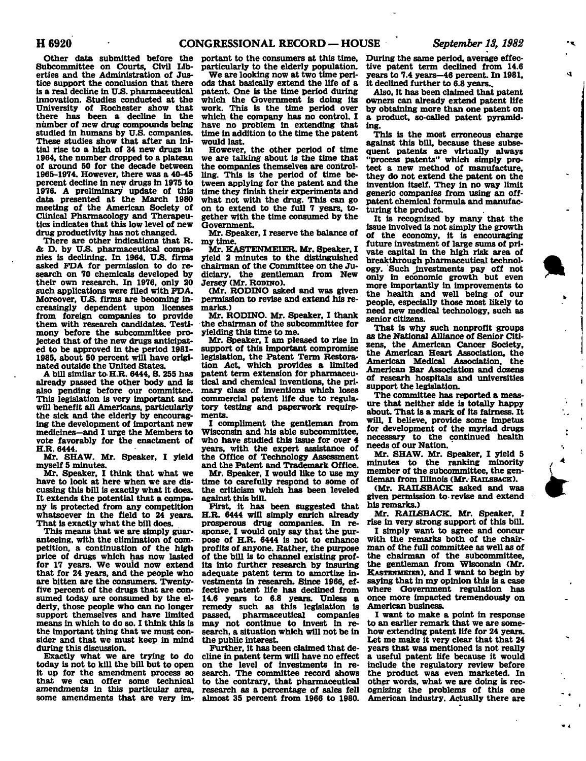**Other data submitted before the Subcommittee on Courts, Civil Liberties and the Administration of Justice support the conclusion that there is a real decline in U.S. pharmaceutical innovation. Studies conducted at the University of Rochester show that there has been a decline in the number of new drug compounds being studied in humans by U.S. companies. These studies show that after an initial rise to a high of 34 new drugs in 1964, the number dropped to a plateau of around 50 for the decade between 1965-1974. However, there was a 40-45 percent decline in new drugs in 1975 to 1976. A preliminary update of this data presented at the March 1980 meeting of the American Society of Clinical Pharmacology and Therapeutics indicates that this low level of new drug productivity has not changed.** 

**There are other indications that R. & D. by U.S. pharmaceutical companies is declining. In 1964, U.S. firms asked FDA for permission to do research on 70 chemicals developed by their own research. In 1976, only 20 such applications were filed with FDA. Moreover, U.S. firms are becoming increasingly dependent upon licenses from foreign companies to provide them with research candidates. Testimony before the subcommittee projected that of the new drugs anticipated to be approved in the period 1981- 1985, about 50 percent will have originated outside the United States.** 

**A bill similar to H.R. 6444, S. 255 has already passed the other body and is also pending before our committee. This legislation is very important and will benefit all Americans, particularly the sick and the elderly by encouraging the development of important new medicines—and I urge the Members to vote favorably for the enactment of H.R. 6444.** 

**Mr. SHAW. Mr. Speaker, I yield myself 5 minutes.** 

**Mr. Speaker, I think that what we have to look at here when we are discussing this bill is exactly what it does. It extends the potential that a company is protected from any competition whatsoever in the field to 24 years. That is exactly what the bill does.** 

**This means that we are simply guaranteeing, with the elimination of competition, a continuation of the high price of drugs which has now lasted for 17 years. We would now extend that for 24 years, and the people who are bitten are the consumers. Twentyfive percent of the drugs that are consumed today are consumed by the elderly, those people who can no longer support themselves and have limited means in which to do so. I think this is the important thing that we must consider and that we must keep in mind during this discussion.** 

**Exactly what we are trying to do today is not to kill the bill but to open it up for the amendment process so that we can offer some technical amendments in this particular area, some amendments that are very im-**

**portant to the consumers at this time, particularly to the elderly population.** 

**We are looking now at two time periods that basically extend the life of a patent. One is the time period during which the Government is doing its work. This is the time period over which the company has no control. I have no problem in extending that time in addition to the time the patent would last.** 

**However, the other period of time we are talking about is the time that the companies themselves are controlling. This is the period of time between applying for the patent and the time they finish their experiments and what not with the drug. This can go on to extend to the full 7 years, together with the time consumed by the Government.** 

**Mr. Speaker, I reserve the balance of my time.** 

**Mr. KASTENMEIER. Mr. Speaker, I yield 2 minutes to the distinguished chairman of the Committee on the Judiciary, the gentleman from New Jersey (Mr. RODTNO).** 

**(Mr. RODINO asked and was given permission to revise and extend his remarks.)** 

**Mr. RODINO. Mr. Speaker, I thank the chairman of the subcommittee for yielding this time to me.** 

**Mr. Speaker, I am pleased to rise in support of this important compromise legislation, the Patent Term Restoration Act, which provides a limited patent term extension for pharmaceutical and chemical inventions, the primary class of inventions which loses commercial patent life due to regulatory testing and paperwork requirements.** 

**I compliment the gentleman from Wisconsin and his able subcommittee, who have studied this issue for over 4 years, with the expert assistance of the Office of Technology Assessment and the Patent and Trademark Office.** 

**Mr. Speaker, I would like to use my time to carefully respond to some of the criticism which has been leveled against this bill.** 

**First, it has been suggested that H.R. 6444 will simply enrich already prosperous drug companies. In response, I would only say that the purpose of H.R. 6444 is not to enhance profits of anyone. Rather, the purpose of the bill is to channel existing profits into further research by insuring adequate patent term to amortize investments in research. Since 1966, effective patent life has declined from 14.6 years to 6.8 years. Unless a remedy such as this legislation is passed, pharmaceutical companies may not continue to invest in research, a situation which will not be in the public interest.** 

**Further, it has been claimed that decline in patent term will have no effect on the level of investments in research. The committee record shows to the contrary, that pharmaceutical research as a percentage of sales fell almost 35 percent from 1966 to 1980.** 

**During the same period, average effective patent term declined from 14.6 years to 7.4 years—46 percent. In 1981, it declined further to 6.8 years..** 

**Also, it has been claimed that patent owners can already extend patent life by obtaining more than one patent on a product, so-called patent pyramiding.** 

**This is the most erroneous charge against this bill, because these subsequent patents are virtually always "process patents" which simply protect a new method of manufacture, they do not extend the patent on the invention itself. They in no way limit generic companies from using an offpatent chemical formula and manufacturing the product.** 

**It is recognized by many that the issue involved is not simply the growth of the economy, it is encouraging future investment of large sums of private capital in the high risk area of breakthrough pharmaceutical technology. Such ^investments pay off not only in economic growth but even more importantly in improvements to the health and well being of our people, especially those most likely to need new medical technology, such as senior citizens.** 

**That is why such nonprofit groups as the National Alliance of Senior Citizens, the American Cancer Society, the American Heart Association, the American Medical Association, the American Bar Association and dozens of researh hospitals and universities support the legislation.** 

**The committee has reported a measure that neither side is totally happy about. That is a mark of its fairness. It will, I believe, provide some Impetus for development of the myriad drugs necessary to the continued health needs of our Nation.'** 

**Mr. SHAW. Mr. Speaker, I yield 5 minutes to the ranking minority member of the subcommittee, the gentleman from Illinois (Mr. RAILSBACK).** 

**(Mr. RAILSBACK asked and was given permission to- revise and extend his remarks.)** 

**Mr. RAILSBACK. Mr. Speaker, I rise in very strong support of this bill.** 

**I simply want to agree and concur with the remarks both of the chairman of the full committee as well as of the chairman of the subcommittee, the gentleman from Wisconsin (Mr. KASTENMEIER), and I want to begin by saying that in my opinion this is a case where Government regulation has once more impacted tremendously on American business.** 

**I want to make a point in response to an earlier remark that we are somehow extending patent life for 24 years. Let me make it very clear that that 24 years that was mentioned is not really a useful patent life because it would include the regulatory review before the product was even marketed. In other words, what we are doing is recognizing the problems of this one American industry. Actually there are** 

Q.

 $\mathbf{I}$ 

 $\mathbf{i}$ 

ŧ

÷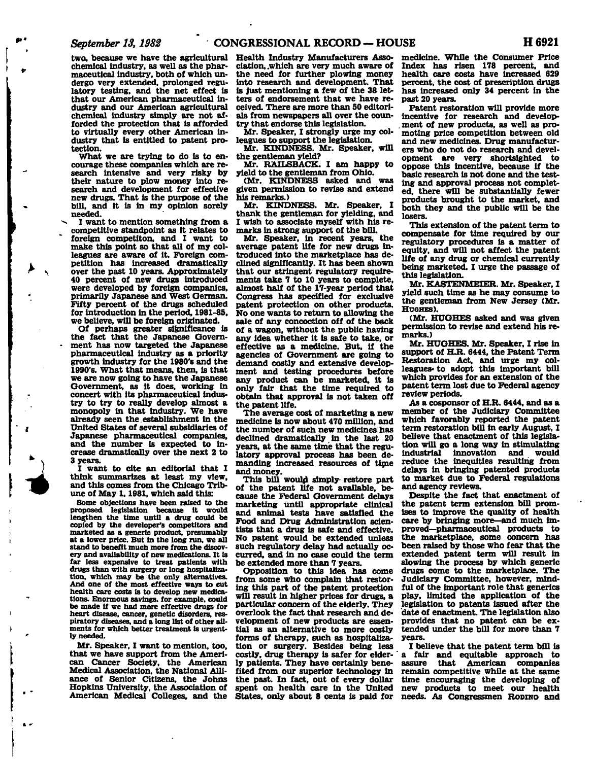**two, because we have the agricultural chemical industry, as well as the pharmaceutical industry, both of which undergo very extended, prolonged regulatory testing, and the net effect is that our American pharmaceutical industry and our American agricultural chemical industry simply are not afforded the protection that is afforded to virtually every other American industry that is entitled to patent protection.** 

**What we are trying to do is to encourage these companies which are research Intensive and very risky by their nature to plow money into research and development for effective new drugs. That is the purpose of the bill, and it is in my opinion sorely needed.** 

**I want to mention something from a competitive standpoint as it relates to foreign competiton, and I want to make this point so that all of my colleagues are aware of it. Foreign competition has Increased dramatically over the past 10 years. Approximately 40 percent of new drugs introduced were developed by foreign companies, primarily Japanese and West German. Fifty percent of the drugs scheduled for introduction in the period, 1981-85, we believe, will be foreign originated.** 

**Of perhaps greater significance is the fact that the Japanese Government has now targeted the Japanese pharmaceutical industry as a priority growth industry for the 1980's and the 1990's. What that means, then, is that we are now going to have the Japanese Government, as it does, working in concert with its pharmaceutical industry to try to really develop almost a monopoly in that industry. We have already seen the.establishment in the United States of several subsidiaries of Japanese pharmaceutical companies, and the number is expected to increase dramatically over the next 2 to 3 years.** 

**I want to cite an editorial that I think summarizes at least my view, and this comes from the Chicago Tribune of May 1,1981, which said this:** 

**Some objections have been raised to the proposed legislation because it would lengthen the time until a drug could be copied by the developer's competitors and marketed as a generic product, presumably at a lower price. But in the long run, we all stand to benefit much more from the discovery and availability of new medications. It is far less expensive to treat patients with drugs than with surgery or long hospitalization, which may be the only alternatives. And one of the most effective ways to cut health care costs is to develop new medications. Enormous savings, for example, could be made if we had more effective drugs for heart disease, cancer, genetic disorders, respiratory diseases, and a long list of other ailments for which better treatment is urgently needed.** 

**Mr. Speaker, I want to mention, too, that we have support from the American Cancer Society, the American Medical Association, the National Alliance of Senior Citizens, the Johns Hopkins University, the Association of American Medical Colleges, and the** 

**Health Industry Manufacturers Association, .which are very much aware of the need for further plowing money into research and development. That is just mentioning a few of the 38 letters of endorsement that we have received. There are more than 50 editorials from newspapers all over the country that endorse this legislation.** 

**Mr. Speaker, I strongly urge my colleagues to support the legislation.** 

**Mr. KINDNESS. Mr. Speaker, will the gentleman yield?** 

**Mr. RAILSBACK. I am happy to yield to the gentleman from Ohio.** 

**(Mr. KINDNESS asked and was given permission to revise and extend his remarks.)** 

**Mr. KINDNESS. Mr. Speaker, I thank the gentleman for yielding, and I wish to associate myself with his remarks in strong support of the bill.** 

**Mr. Speaker, in recent years, the average patent life for new drugs introduced into the marketplace has declined significantly. It has been shown that our stringent regulatory requirements take 7 to 10 years to complete, almost half of the 17-year period that Congress has specified for exclusive patent protection on other products. No one wants to return to allowing the sale of any concoction off of the back of a wagon, without the public having any idea whether it is safe to take, or effective as a medicine. But. if the agencies of Government are going to demand costly and extensive development and testing procedures before any product can be marketed, it is only fair that the time required to obtain that approval is not taken off the patent life.** 

**The average cost of marketing a new medicine is now about 470 million, and the number of such new medicines has declined dramatically in the last 20 years, at the same time that the regulatory approval process has been demanding increased resources of time and money.** 

**This bill would simply- restore part of the patent life not available, because the Federal Government delays marketing until appropriate clinical and animal tests have satisfied the Food and Drug Administration scientists that a drug is safe and effective. No patent would be extended unless such regulatory delay had actually occurred, and in no case could the term be extended more than 7 years.** 

**Opposition to this idea has come from some who complain that restoring this part of the patent protection will result in higher prices for drugs, a particular concern of the elderly. They overlook the fact that research and development of new products are essential as an alternative to more costly forms of therapy, such as hospitalization or surgery. Besides being less costly, drug therapy is safer for elderly patients. They have certainly benefited from our superior technology in the past. In fact, out of every dollar spent on health care in the United States, only about 8 cents is paid for**  **medicine. While the Consumer Price Index has risen 178 percent, and health care costs have increased 629 percent, the cost of prescription drugs has increased only 34 percent in the past 20 years.** 

**Patent restoration will provide more incentive for research and develop- . ment of new products, as well as promoting price competition between old and new medicines. Drug manufacturers who do not do research and development are very shortsighted to oppose this incentive, because if the basic research is not done and the testing and approval process not completed, there will be substantially fewer products brought to the market, and both they and the public will be the losers.** 

**This extension of the patent term to compensate for time required by our regulatory procedures is a matter of equity, and will not affect the patent life of any drug or chemical currently being marketed. I urge the passage of this legislation.** 

**Mr. KASTENMEIER. Mr. Speaker, I yield such time as he may consume to the gentleman from New Jersey (Mr. HUGHES).** 

**(Mr. HUGHES asked and was given permission to revise and extend his remarks.)** 

**Mr. HUGHES. Mr. Speaker, I rise in support of H.R. 6444, the Patent Term Restoration Act, and urge my colleagues\* to adopt this important bill which provides for an extension of the patent term lost due to Federal agency review periods.** 

**As a cosponsor of H.R. 6444, and as a member of the Judiciary Committee which favorably reported the patent term restoration bill in early August, I believe that enactment of this legislation will go a long way in stimulating Industrial innovation and would reduce the inequities resulting from delays in bringing patented products to market due to Federal regulations and agency reviews.** 

**Despite the fact that enactment of the patent term extension bill promises to improve the quality of health care by bringing more—and much improved—pharmaceutical products to the marketplace, some concern has been raised by those who fear that the extended patent term will result in slowing the process by which generic drugs come to the marketplace. The Judiciary Committee, however, mindful of the important role that generics play, limited the application of the legislation to patents issued after the date of enactment. The legislation also provides that no patent can be extended under the bill for more than 7 years.** 

**I believe that the patent term bill is a fair and equitable approach to assure that American companies remain competitive while at the same time encouraging the developing of new products to meet our health needs. As Congressmen RODINO and**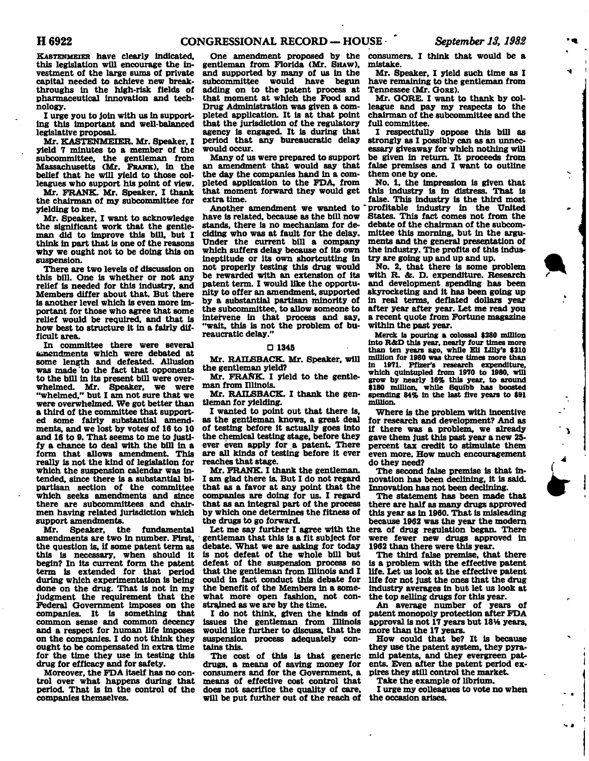**KASTENMEIER have clearly indicated, this legislation will encourage the investment of the large sums of private capital needed to achieve new breakthroughs in the high-risk fields of pharmaceutical innovation and technology.** 

**I urge you to join with us in supporting this important and well-balanced legislative proposal.** 

**Mr. KASTENMEIER. Mr. Speaker, I yield 7 minutes to a member of the subcommittee, the gentleman from Massachusetts (Mr. FRANK), in the belief that he will yield to those colleagues who support his point of view.** 

**Mr. FRANK. Mr. Speaker, I thank the chairman of my subcommittee for yielding to me.** 

**Mr. Speaker, I want to acknowledge the significant work that the gentleman did to improve this bill, but I think in part that is one of the reasons why we ought not to be doing this on suspension.** 

**There are two levels of discussion on this bill. One is whether or not any relief is needed for this industry, and Members differ about that. But there is another level which is even more important for those who agree that some relief would be required, and that is how best to structure it in a fairly difficult area.** 

**In committee there were several amendments which were debated at some length and defeated. Allusion was made to the fact that opponents to the bill in its present bill were overwhelmed. Mr. Speaker, we were "whelmed," but I am not sure that we were overwhelmed. We got better than a third of the committee that supported some fairly substantial amend**ments, and we lost by votes of 16 to 10 **and 16 to 9. That seems to me to justify a chance to deal with the bill in a form that allows amendment. This really is not the kind of legislation for which the suspension calendar was intended, since there is a substantial bipartisan section of the committee which seeks amendments and since there are subcommittees and chairmen having related jurisdiction which support amendments.** 

**Mr. Speaker, the fundamental amendments are two in number. First, the Question is, if some patent term as this is necessary, when should it begin? In its current form the patent term is extended for that period during which experimentation is being done on the drug. That is not in my judgment the requirement that the Federal Government imposes on the companies. It is something that common sense and common decency and a respect for human life imposes on the companies. I do not think they ought to be compensated in extra time for the time they use in testing this drug for efficacy and for safety.** 

**Moreover, the FDA itself has no control over what happens during that period. That is in the control of the companies themselves.** 

**One amendment proposed by the gentleman from Florida (Mr. SHAW), and supported by many of us in the**  would have begun **adding on to the patent process at that moment at which the Food and Drug Administration was given a completed application. It is at that point that the jurisdiction of the regulatory agency is engaged. It is during that period that any bureaucratic delay would occur.** 

**Many of us were prepared to support an amendment that would say that the day the companies hand in a completed application to the FDA, from that moment forward they would get extra time.** 

**Another amendment we wanted to have is related, because as the bill now stands, there is no mechanism for deciding who was at fault for the delay. Under the current bill a company which suffers delay because of its own ineptitude or its own shortcutting in not properly testing this drug would be rewarded with an extension of its patent term. I would like the opportunity to offer an amendment, supported by a substantial partisan minority of the subcommittee, to allow someone to intervene in that process and say, "wait, this is not the problem of bureaucratic delay."** 

### **D 1345**

**Mr. RAILSBACK. Mr. Speaker, will the gentleman yield?** 

**Mr. FRANK. I yield to the gentleman from Illinois.** 

**Mr. RAILSBACK. I thank the gentleman for yielding.** 

**I wanted to point out that there is, as the gentleman knows, a great deal of testing before it actually goes into the chemical testing stage, before they ever even apply for a patent. There are all kinds of testing before it ever reaches that stage.** 

**Mr. FRANK. I thank the gentleman. I am glad there is. But I do not regard that as a favor at any point that the companies are doing for us. I regard that as an integral part of the process by which one determines the fitness of the drugs to go forward.** 

**Let me say further I agree with the gentleman that this is a fit subject for debate. What we are asking for today is not defeat of the whole bill but defeat of the suspension process so that the gentleman from Illinois and I could in fact conduct this debate for the benefit of the Members in a somewhat more open fashion, not constrained as we are by the time.** 

**I do not think, given the kinds of issues the gentleman from Illinois would like further to discuss, that the suspension process adequately contains this.** 

**The cost of this is that generic drugs, a means of saving money for consumers and for the Government, a means of effective cost control that does not sacrifice the quality of care, will be put further out of the reach of** 

**consumers. I think that would be a mistake.** 

**Mr. Speaker, I yield such time as I have remaining to the gentleman from Tennessee (Mr. GORE).** 

**Mr. GORE. I want to thank by colleague and pay my respects to the chairman of the subcommittee and the full committee.** 

**I respectfully oppose this bill as strongly as I possibly can as an unnecessary giveaway for which nothing will be given in return. It proceeds from false premises and I want to outline them one by one.** 

**No. 1, the impression is given that this industry is in distress. That is false. This industry is the third most profitable industry in the United States. This fact comes not from the debate of the chairman of the subcommittee this morning, but in the arguments and the general presentation of the industry. The profits of this industry are going up and up and up.** 

**No. 2, that there is some problem with R. &. D. expenditure. Research and development spending has been skyrocketing and it has been going up in real terms, deflated dollars year after year after year. Let me read you a recent quote from Fortune magazine within the past year.** 

**Merck Is pouring a colossal \$280 million into R&D this year, nearly four times more than ten years ago, while Ell Lilly's \$210 million for 1080 was three times more than in 1071. Pfizer\*s research expenditure, which quintupled from 1970 to 1080, will grow by nearly 16% this year, to around \$180 million, while Squibb has boosted spending 84% in the last five years to \$91 million.** 

÷,

Y,

د ب

**Where is the problem with incentive for research and development? And as if there was a problem, we already gave them just this past year a new 25 percent tax credit to stimulate them even more. How much encouragement do they need?** 

**The second false premise is that innovation has been declining, it is said. Innovation has not been declining.** 

**The statement has been made that there are half as many drugs approved this year as in 1960. That is misleading because 1962 was the year the modern era of drug regulation began. There were fewer new drugs approved in 1962 than there were this year.** 

**The third false premise, that there is a problem with the effective patent life. Let us look at the effective patent life for not just the ones that the drug industry averages in but let us look at the top selling drugs for this year.** 

**An average number of years of patent monopoly protection after FDA approval is not 17 years but 18V4 years, more than the 17 years.** 

**How could that be? It is because they use the patent system, they pyramid patents, and they evergreen patents. Even after the patent period expires they still control the market.** 

**Take the example of librium.** 

**I urge my colleagues to vote no when the occasion arises.**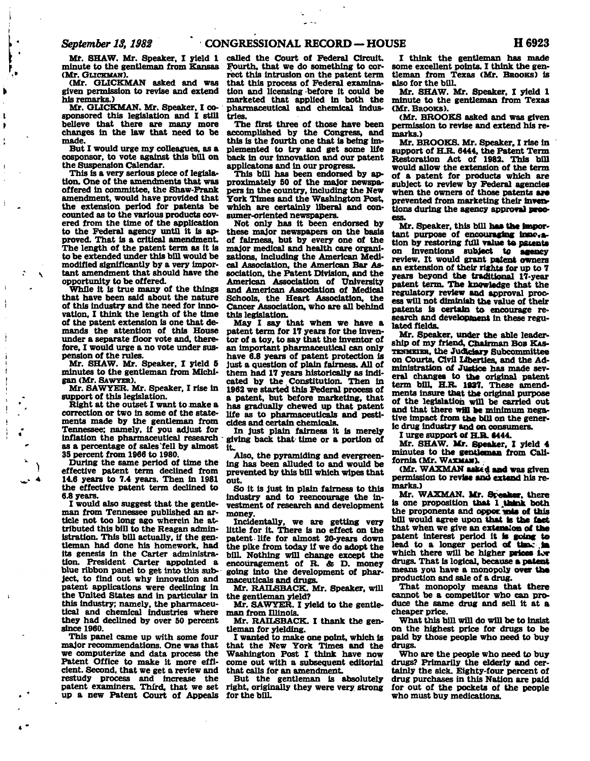**Mr. SHAW. Mr. Speaker, I yield 1 minute to the gentleman from Kansas (Mr. GLICKMAN).** 

**(Mr. GLICKMAN asked and was given permission to revise and extend his remarks.)** 

**Mr. GLICKMAN. Mr. Speaker, I cosponsored this legislation and I still believe that there are many more changes in the law that need to be made.** 

**But I would urge my colleagues, as a cosponsor, to vote against this bill on the Suspension Calendar.** 

**This is a very serious piece of legislation. One of the amendments that was offered in committee, the Shaw-Frank amendment, would have provided that the extension period for patents be counted as to the various products covered from the time of the application to the Federal agency until it is approved. That is a critical amendment. The length of the patent term as it is to be extended under this bill would be modified significantly by a very important amendment that should have the opportunity to be offered.** 

**While it is true many of the things that have been said about the nature of this industry and the need for innovation, I think the length of the time of the patent extension is one that demands the attention of this House under a separate floor vote and, therefore, I would urge a no vote under suspension of the rules.** 

**Mr. SHAW. Mr. Speaker, I yield 5 minutes to the gentleman from Michigan (Mr. SAWYER).** 

**Mr. SAWYER. Mr. Speaker, I rise in support of this legislation.** 

**Right at the outset I want to make a correction or two in some of the statements made by the gentleman from Tennessee; namely, if you adjust for inflation the pharmaceutical research as a percentage of sales'fell by almost 35 percent from 1966 to 1980.** 

**During the same period of time the effective patent term declined from 14.6 years to 7.4 years. Then in 1981 the effective patent term declined to 6.8 years.** 

**)** 

 $\cdot$ 

 $\hat{\cdot}$ Ñ

 $\ddot{i}$ 

**I would also suggest that the gentleman from Tennessee published an article not too long ago wherein he attributed this bill to the Reagan administration. This bill actually, if the gentleman had done his homework, had its genesis in the Carter administration. President Carter appointed a blue ribbon panel to get into this subject, to find out why innovation and patent applications were declining in the United States and in particular in this industry; namely, the pharmaceutical and chemical industries where they had declined by over 50 percent since 1960.** 

**This panel came up with some four major recommendations. One was that we computerize and data process the Patent Office to make it more efficient. Second, that we get a review and restudy process and increase the patent examiners. Third, that we set up a new Patent Court of Appeals** 

**called the Court of Federal Circuit. Fourth, that we do something to correct this intrusion on the patent term that this process of Federal examination and licensing before it could be marketed that applied in both the pharmaceutical and chemical industries.** 

**The first three of those have been accomplished by the Congress, and this is the fourth one that is being implemented to try and get some life back in our innovation and our patent applications and in our progress.** 

**This bill has been endorsed by approximately 50 of the major newspapers in the country, including the New York Times and the Washington Post, which are certainly liberal and consumer-oriented newspapers.** 

**Not only has it been endorsed by these major newspapers on the basis of fairness, but by every one of the major medical and health care organizations, including the American Medical Association, the American Bar Association, the Patent Division, and the American Association of University and American Association of Medical Schools, the Heart Association, the Cancer Association, who are all behind this legislation.** 

**May I say that when we have a patent term for 17 years for the inventor of a toy, to say that the inventor of an important pharmaceutical can only have 6.8 years of patent protection is Just a question of plain fairness. All of them had 17 years historically as indicated by the. Constitution. Then in 1962 we started this Federal process of a patent, but before marketing, that has gradually chewed up that patent life as to pharmaceuticals and pesticides and certain chemicals.** 

**In just plain fairness it is merely giving back that time or a portion of it.** 

**Also, the pyramiding and evergreening has been alluded to and would be prevented by this bill which wipes that out.** 

**So it is just in plain fairness to this industry and to reencourage the investment of research and development money.** 

**Incidentally, we are getting very little for it. There is no effect on the patent life for almost 20-years down the pike from today if we do adopt the bilL Nothing will change except the encouragement of R. & D. money going into the development of pharmaceuticals and drugs.** 

**Mr. RAILSBACK. Mr. Speaker, will the gentleman yield?** 

**Mr. SAWYER. I yield to the gentleman from Illinois.** 

**Mr. RAILSBACK. I thank the gentleman for yielding.** 

**I wanted to make one point, which is that the New York Times and the Washington Post I think have now come out with a subsequent editorial that calls for an amendment.** 

**But the gentleman is absolutely right, originally they were very strong for the bilL** 

**I think the gentleman has made some excellent points. I think the gentleman from Texas (Mr. BROOKS) is also for the bill.** 

**Mr. SHAW. Mr. Speaker, I yield 1 minute to the gentleman from Texas (Mr. BROOKS).** 

**(Mr. BROOKS asked and was given permission to revise and extend his remarks.)** 

**Mr. BROOKS. Mr. Speaker, I rise in support of H.R. 6444, the Patent Term Restoration Act of 1982. This bill would allow the extension of the term of a patent for products which are subject to review by Federal agencies**  when the owners of those patents are **prevented from marketing their inventions during the agency approval pree-**

**Mr. Speaker, this bill has the Impor**tant purpose of encouraging inne<sub>ra-</sub> **tion by restoring full value to patents on inventions subject to agency review. It would grant patent owners an extension of their rights for up to 7 years beyond the traditional 17-year patent term. The knowledge that the regulatory review and approval process will not diminish the value of their patents Is certain to encourage research and development in these regulated fields.** 

**Mr. Speaker, under the able leadership of my friend, Chairman BOB KAS-TENMEIER, the Judiciary Subcommittee on Courts, Civil Liberties, and the Administration of Justice has made several changes to the original patent term bill, H.R. 1937. These amendments insure that the original purpose of the legislation will be carried out and that there wfll be minimum negative impact from the bill on the generic drug industry and on consumers.** 

**I urge support of H.R. 6444.** 

**Mr. SHAW. Mr. Speaker, I yield 4 minutes to the gentleman from California (Mr. WAXMAN).** 

**(Mr. WAXMAN asked and was given permission to revise and extend his remarks.)** 

**Mr. WAXMAN. Mr. Speaker, there is one proposition that 1 .Utink both the proponents and oppecinie of this bill would agree upon that to the fact that when we give an extension of the**  patent interest period it is going to **lead to a longer period of ttaw ,ja which there will be higher prices lor drugs. That is logical, because a patent means you have a monopoly over the production and sale of a drug.** 

**That monopoly means that there cannot be a competitor who can produce the same drug and sell it at a cheaper price.** 

**What this bill will do will be to insist on the highest price for drugs to be paid by those people who need to buy drugs.** 

**Who are the people who need to buy drugs? Primarily the elderly and certainly the sick. Eighty-four percent of drug purchases in this Nation are paid for out of the pockets of the people who must buy medications.**